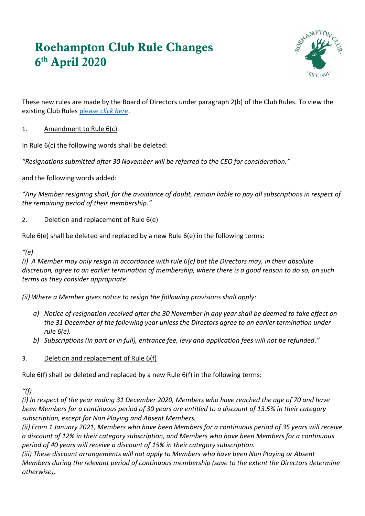# **Roehampton Club Rule Changes 6 th April 2020**



These new rules are made by the Board of Directors under paragraph 2(b) of the Club Rules. To view the existing Club Rules please *[click here](https://www.roehamptonclub.co.uk/propeller/uploads/2019/11/Club-Rules-2020.pdf)*.

# 1. Amendment to Rule 6(c)

In Rule 6(c) the following words shall be deleted:

*"Resignations submitted after 30 November will be referred to the CEO for consideration."*

and the following words added:

*"Any Member resigning shall, for the avoidance of doubt, remain liable to pay all subscriptions in respect of the remaining period of their membership."*

#### 2. Deletion and replacement of Rule 6(e)

Rule 6(e) shall be deleted and replaced by a new Rule 6(e) in the following terms:

# *"(e)*

*(i) A Member may only resign in accordance with rule 6(c) but the Directors may, in their absolute discretion, agree to an earlier termination of membership, where there is a good reason to do so, on such terms as they consider appropriate.*

*(ii) Where a Member gives notice to resign the following provisions shall apply:*

- *a) Notice of resignation received after the 30 November in any year shall be deemed to take effect on the 31 December of the following year unless the Directors agree to an earlier termination under rule 6(e).*
- *b) Subscriptions (in part or in full), entrance fee, levy and application fees will not be refunded."*

# 3. Deletion and replacement of Rule 6(f)

Rule 6(f) shall be deleted and replaced by a new Rule 6(f) in the following terms:

*"(f)*

*(i) In respect of the year ending 31 December 2020, Members who have reached the age of 70 and have been Members for a continuous period of 30 years are entitled to a discount of 13.5% in their category subscription, except for Non Playing and Absent Members.* 

*(ii) From 1 January 2021, Members who have been Members for a continuous period of 35 years will receive a discount of 12% in their category subscription, and Members who have been Members for a continuous period of 40 years will receive a discount of 15% in their category subscription.* 

*(iii) These discount arrangements will not apply to Members who have been Non Playing or Absent Members during the relevant period of continuous membership (save to the extent the Directors determine otherwise),*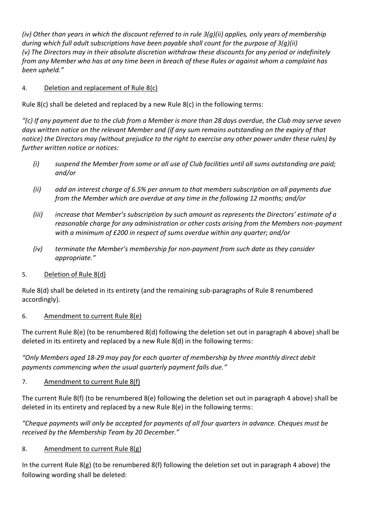*(iv) Other than years in which the discount referred to in rule 3(g)(ii) applies, only years of membership during which full adult subscriptions have been payable shall count for the purpose of 3(g)(ii) (v) The Directors may in their absolute discretion withdraw these discounts for any period or indefinitely from any Member who has at any time been in breach of these Rules or against whom a complaint has been upheld."*

# 4. Deletion and replacement of Rule 8(c)

Rule 8(c) shall be deleted and replaced by a new Rule 8(c) in the following terms:

*"(c) If any payment due to the club from a Member is more than 28 days overdue, the Club may serve seven days written notice on the relevant Member and (if any sum remains outstanding on the expiry of that notice) the Directors may (without prejudice to the right to exercise any other power under these rules) by further written notice or notices:*

- *(i) suspend the Member from some or all use of Club facilities until all sums outstanding are paid; and/or*
- *(ii) add an interest charge of 6.5% per annum to that members subscription on all payments due from the Member which are overdue at any time in the following 12 months; and/or*
- *(iii) increase that Member's subscription by such amount as represents the Directors' estimate of a reasonable charge for any administration or other costs arising from the Members non-payment with a minimum of £200 in respect of sums overdue within any quarter; and/or*
- *(iv) terminate the Member's membership for non-payment from such date as they consider appropriate."*

# 5. Deletion of Rule 8(d)

Rule 8(d) shall be deleted in its entirety (and the remaining sub-paragraphs of Rule 8 renumbered accordingly).

# 6. Amendment to current Rule 8(e)

The current Rule 8(e) (to be renumbered 8(d) following the deletion set out in paragraph 4 above) shall be deleted in its entirety and replaced by a new Rule 8(d) in the following terms:

*"Only Members aged 18-29 may pay for each quarter of membership by three monthly direct debit payments commencing when the usual quarterly payment falls due."* 

# 7. Amendment to current Rule 8(f)

The current Rule 8(f) (to be renumbered 8(e) following the deletion set out in paragraph 4 above) shall be deleted in its entirety and replaced by a new Rule 8(e) in the following terms:

*"Cheque payments will only be accepted for payments of all four quarters in advance. Cheques must be received by the Membership Team by 20 December."*

#### 8. Amendment to current Rule 8(g)

In the current Rule 8(g) (to be renumbered 8(f) following the deletion set out in paragraph 4 above) the following wording shall be deleted: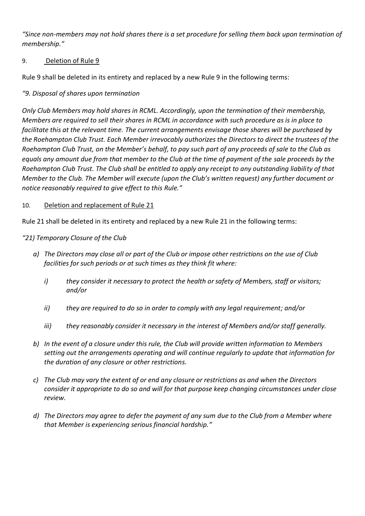*"Since non‐members may not hold shares there is a set procedure for selling them back upon termination of membership."*

#### 9. Deletion of Rule 9

Rule 9 shall be deleted in its entirety and replaced by a new Rule 9 in the following terms:

# *"9. Disposal of shares upon termination*

*Only Club Members may hold shares in RCML. Accordingly, upon the termination of their membership, Members are required to sell their shares in RCML in accordance with such procedure as is in place to facilitate this at the relevant time. The current arrangements envisage those shares will be purchased by the Roehampton Club Trust. Each Member irrevocably authorizes the Directors to direct the trustees of the Roehampton Club Trust, on the Member's behalf, to pay such part of any proceeds of sale to the Club as equals any amount due from that member to the Club at the time of payment of the sale proceeds by the Roehampton Club Trust. The Club shall be entitled to apply any receipt to any outstanding liability of that Member to the Club. The Member will execute (upon the Club's written request) any further document or notice reasonably required to give effect to this Rule."*

#### 10. Deletion and replacement of Rule 21

Rule 21 shall be deleted in its entirety and replaced by a new Rule 21 in the following terms:

#### *"21) Temporary Closure of the Club*

- *a) The Directors may close all or part of the Club or impose other restrictions on the use of Club facilities for such periods or at such times as they think fit where:*
	- *i) they consider it necessary to protect the health or safety of Members, staff or visitors; and/or*
	- *ii) they are required to do so in order to comply with any legal requirement; and/or*
	- *iii) they reasonably consider it necessary in the interest of Members and/or staff generally.*
- *b) In the event of a closure under this rule, the Club will provide written information to Members setting out the arrangements operating and will continue regularly to update that information for the duration of any closure or other restrictions.*
- *c) The Club may vary the extent of or end any closure or restrictions as and when the Directors consider it appropriate to do so and will for that purpose keep changing circumstances under close review.*
- *d) The Directors may agree to defer the payment of any sum due to the Club from a Member where that Member is experiencing serious financial hardship."*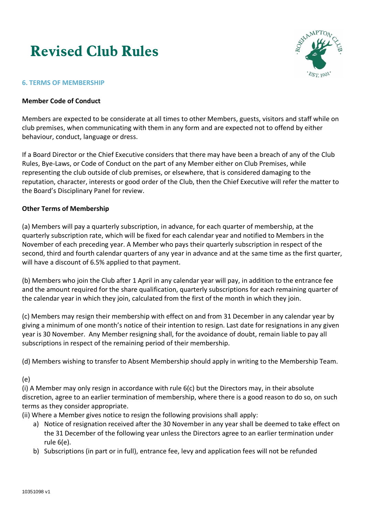# **Revised Club Rules**



#### **6. TERMS OF MEMBERSHIP**

#### **Member Code of Conduct**

Members are expected to be considerate at all times to other Members, guests, visitors and staff while on club premises, when communicating with them in any form and are expected not to offend by either behaviour, conduct, language or dress.

If a Board Director or the Chief Executive considers that there may have been a breach of any of the Club Rules, Bye-Laws, or Code of Conduct on the part of any Member either on Club Premises, while representing the club outside of club premises, or elsewhere, that is considered damaging to the reputation, character, interests or good order of the Club, then the Chief Executive will refer the matter to the Board's Disciplinary Panel for review.

#### **Other Terms of Membership**

(a) Members will pay a quarterly subscription, in advance, for each quarter of membership, at the quarterly subscription rate, which will be fixed for each calendar year and notified to Members in the November of each preceding year. A Member who pays their quarterly subscription in respect of the second, third and fourth calendar quarters of any year in advance and at the same time as the first quarter, will have a discount of 6.5% applied to that payment.

(b) Members who join the Club after 1 April in any calendar year will pay, in addition to the entrance fee and the amount required for the share qualification, quarterly subscriptions for each remaining quarter of the calendar year in which they join, calculated from the first of the month in which they join.

(c) Members may resign their membership with effect on and from 31 December in any calendar year by giving a minimum of one month's notice of their intention to resign. Last date for resignations in any given year is 30 November. Any Member resigning shall, for the avoidance of doubt, remain liable to pay all subscriptions in respect of the remaining period of their membership.

(d) Members wishing to transfer to Absent Membership should apply in writing to the Membership Team.

(e)

(i) A Member may only resign in accordance with rule 6(c) but the Directors may, in their absolute discretion, agree to an earlier termination of membership, where there is a good reason to do so, on such terms as they consider appropriate.

(ii) Where a Member gives notice to resign the following provisions shall apply:

- a) Notice of resignation received after the 30 November in any year shall be deemed to take effect on the 31 December of the following year unless the Directors agree to an earlier termination under rule 6(e).
- b) Subscriptions (in part or in full), entrance fee, levy and application fees will not be refunded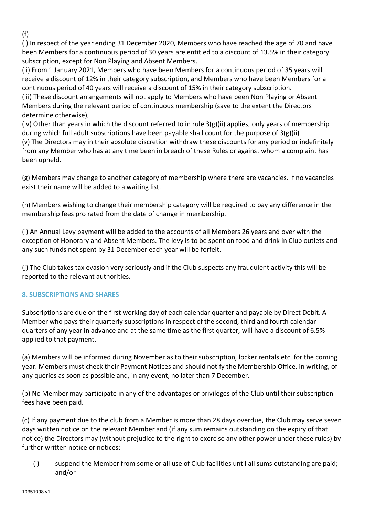(f)

(i) In respect of the year ending 31 December 2020, Members who have reached the age of 70 and have been Members for a continuous period of 30 years are entitled to a discount of 13.5% in their category subscription, except for Non Playing and Absent Members.

(ii) From 1 January 2021, Members who have been Members for a continuous period of 35 years will receive a discount of 12% in their category subscription, and Members who have been Members for a continuous period of 40 years will receive a discount of 15% in their category subscription.

(iii) These discount arrangements will not apply to Members who have been Non Playing or Absent Members during the relevant period of continuous membership (save to the extent the Directors determine otherwise),

(iv) Other than years in which the discount referred to in rule 3(g)(ii) applies, only years of membership during which full adult subscriptions have been payable shall count for the purpose of  $3(g)(ii)$ (v) The Directors may in their absolute discretion withdraw these discounts for any period or indefinitely

from any Member who has at any time been in breach of these Rules or against whom a complaint has been upheld.

(g) Members may change to another category of membership where there are vacancies. If no vacancies exist their name will be added to a waiting list.

(h) Members wishing to change their membership category will be required to pay any difference in the membership fees pro rated from the date of change in membership.

(i) An Annual Levy payment will be added to the accounts of all Members 26 years and over with the exception of Honorary and Absent Members. The levy is to be spent on food and drink in Club outlets and any such funds not spent by 31 December each year will be forfeit.

(j) The Club takes tax evasion very seriously and if the Club suspects any fraudulent activity this will be reported to the relevant authorities.

# **8. SUBSCRIPTIONS AND SHARES**

Subscriptions are due on the first working day of each calendar quarter and payable by Direct Debit. A Member who pays their quarterly subscriptions in respect of the second, third and fourth calendar quarters of any year in advance and at the same time as the first quarter, will have a discount of 6.5% applied to that payment.

(a) Members will be informed during November as to their subscription, locker rentals etc. for the coming year. Members must check their Payment Notices and should notify the Membership Office, in writing, of any queries as soon as possible and, in any event, no later than 7 December.

(b) No Member may participate in any of the advantages or privileges of the Club until their subscription fees have been paid.

(c) If any payment due to the club from a Member is more than 28 days overdue, the Club may serve seven days written notice on the relevant Member and (if any sum remains outstanding on the expiry of that notice) the Directors may (without prejudice to the right to exercise any other power under these rules) by further written notice or notices:

(i) suspend the Member from some or all use of Club facilities until all sums outstanding are paid; and/or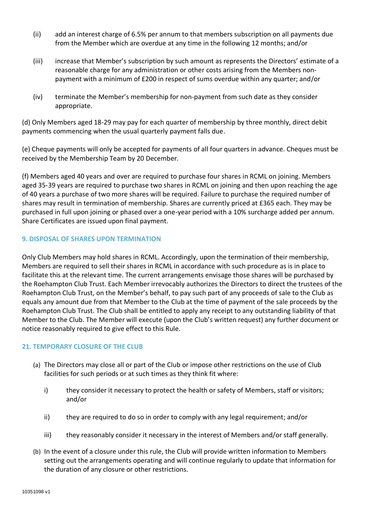- (ii) add an interest charge of 6.5% per annum to that members subscription on all payments due from the Member which are overdue at any time in the following 12 months; and/or
- (iii) increase that Member's subscription by such amount as represents the Directors' estimate of a reasonable charge for any administration or other costs arising from the Members nonpayment with a minimum of £200 in respect of sums overdue within any quarter; and/or
- (iv) terminate the Member's membership for non-payment from such date as they consider appropriate.

(d) Only Members aged 18-29 may pay for each quarter of membership by three monthly, direct debit payments commencing when the usual quarterly payment falls due.

(e) Cheque payments will only be accepted for payments of all four quarters in advance. Cheques must be received by the Membership Team by 20 December.

(f) Members aged 40 years and over are required to purchase four shares in RCML on joining. Members aged 35‑39 years are required to purchase two shares in RCML on joining and then upon reaching the age of 40 years a purchase of two more shares will be required. Failure to purchase the required number of shares may result in termination of membership. Shares are currently priced at £365 each. They may be purchased in full upon joining or phased over a one-year period with a 10% surcharge added per annum. Share Certificates are issued upon final payment.

#### **9. DISPOSAL OF SHARES UPON TERMINATION**

Only Club Members may hold shares in RCML. Accordingly, upon the termination of their membership, Members are required to sell their shares in RCML in accordance with such procedure as is in place to facilitate this at the relevant time. The current arrangements envisage those shares will be purchased by the Roehampton Club Trust. Each Member irrevocably authorizes the Directors to direct the trustees of the Roehampton Club Trust, on the Member's behalf, to pay such part of any proceeds of sale to the Club as equals any amount due from that Member to the Club at the time of payment of the sale proceeds by the Roehampton Club Trust. The Club shall be entitled to apply any receipt to any outstanding liability of that Member to the Club. The Member will execute (upon the Club's written request) any further document or notice reasonably required to give effect to this Rule.

#### **21. TEMPORARY CLOSURE OF THE CLUB**

- (a) The Directors may close all or part of the Club or impose other restrictions on the use of Club facilities for such periods or at such times as they think fit where:
	- i) they consider it necessary to protect the health or safety of Members, staff or visitors; and/or
	- ii) they are required to do so in order to comply with any legal requirement; and/or
	- iii) they reasonably consider it necessary in the interest of Members and/or staff generally.
- (b) In the event of a closure under this rule, the Club will provide written information to Members setting out the arrangements operating and will continue regularly to update that information for the duration of any closure or other restrictions.